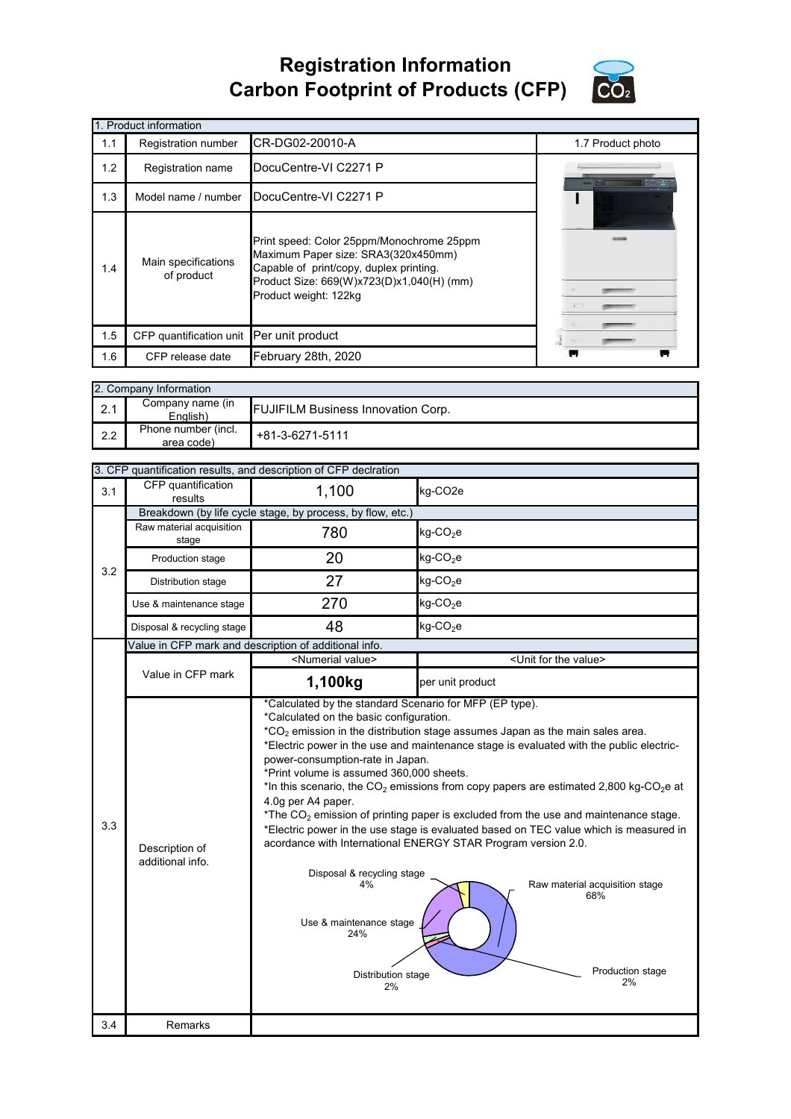## **Registration Information Carbon Footprint of Products (CFP)**



|     | 1. Product information            |                                                                                                                                                                                                   |                   |
|-----|-----------------------------------|---------------------------------------------------------------------------------------------------------------------------------------------------------------------------------------------------|-------------------|
| 1.1 | Registration number               | CR-DG02-20010-A                                                                                                                                                                                   | 1.7 Product photo |
| 1.2 | Registration name                 | DocuCentre-VI C2271 P                                                                                                                                                                             |                   |
| 1.3 | Model name / number               | DocuCentre-VI C2271 P                                                                                                                                                                             |                   |
| 1.4 | Main specifications<br>of product | Print speed: Color 25ppm/Monochrome 25ppm<br>Maximum Paper size: SRA3(320x450mm)<br>Capable of print/copy, duplex printing.<br>Product Size: 669(W)x723(D)x1,040(H) (mm)<br>Product weight: 122kg | $\frac{1}{2}$     |
| 1.5 | CFP quantification unit           | Per unit product                                                                                                                                                                                  |                   |
| 1.6 | CFP release date                  | February 28th, 2020                                                                                                                                                                               |                   |

|     | 2. Company Information            |                                           |
|-----|-----------------------------------|-------------------------------------------|
| 2.1 | Company name (in<br>Enalish)      | <b>FUJIFILM Business Innovation Corp.</b> |
| 2.2 | Phone number (incl.<br>area code) | +81-3-6271-5111                           |

|     |                                    | 3. CFP quantification results, and description of CFP declration                                                                                                                                                                                                                                           |                                                                                                                                                                                                                                                                                                                                                                                                                                                                                                                                                                                                                   |
|-----|------------------------------------|------------------------------------------------------------------------------------------------------------------------------------------------------------------------------------------------------------------------------------------------------------------------------------------------------------|-------------------------------------------------------------------------------------------------------------------------------------------------------------------------------------------------------------------------------------------------------------------------------------------------------------------------------------------------------------------------------------------------------------------------------------------------------------------------------------------------------------------------------------------------------------------------------------------------------------------|
| 3.1 | CFP quantification<br>results      | 1,100                                                                                                                                                                                                                                                                                                      | kg-CO <sub>2e</sub>                                                                                                                                                                                                                                                                                                                                                                                                                                                                                                                                                                                               |
|     |                                    | Breakdown (by life cycle stage, by process, by flow, etc.)                                                                                                                                                                                                                                                 |                                                                                                                                                                                                                                                                                                                                                                                                                                                                                                                                                                                                                   |
|     | Raw material acquisition<br>stage  | 780                                                                                                                                                                                                                                                                                                        | $kg$ -CO <sub>2</sub> e                                                                                                                                                                                                                                                                                                                                                                                                                                                                                                                                                                                           |
| 3.2 | Production stage                   | 20                                                                                                                                                                                                                                                                                                         | $kg$ -CO <sub>2</sub> e                                                                                                                                                                                                                                                                                                                                                                                                                                                                                                                                                                                           |
|     | Distribution stage                 | 27                                                                                                                                                                                                                                                                                                         | $kg$ -CO <sub>2</sub> e                                                                                                                                                                                                                                                                                                                                                                                                                                                                                                                                                                                           |
|     | Use & maintenance stage            | 270                                                                                                                                                                                                                                                                                                        | $kg$ -CO <sub>2</sub> e                                                                                                                                                                                                                                                                                                                                                                                                                                                                                                                                                                                           |
|     | Disposal & recycling stage         | 48                                                                                                                                                                                                                                                                                                         | $kg$ -CO <sub>2</sub> e                                                                                                                                                                                                                                                                                                                                                                                                                                                                                                                                                                                           |
|     |                                    | Value in CFP mark and description of additional info.                                                                                                                                                                                                                                                      |                                                                                                                                                                                                                                                                                                                                                                                                                                                                                                                                                                                                                   |
|     | Value in CFP mark                  | <numerial value=""></numerial>                                                                                                                                                                                                                                                                             | <unit for="" the="" value=""></unit>                                                                                                                                                                                                                                                                                                                                                                                                                                                                                                                                                                              |
|     |                                    | 1,100kg                                                                                                                                                                                                                                                                                                    | per unit product                                                                                                                                                                                                                                                                                                                                                                                                                                                                                                                                                                                                  |
| 3.3 | Description of<br>additional info. | *Calculated by the standard Scenario for MFP (EP type).<br>*Calculated on the basic configuration.<br>power-consumption-rate in Japan.<br>*Print volume is assumed 360,000 sheets.<br>4.0g per A4 paper.<br>Disposal & recycling stage<br>4%<br>Use & maintenance stage<br>24%<br>Distribution stage<br>2% | $*CO2$ emission in the distribution stage assumes Japan as the main sales area.<br>*Electric power in the use and maintenance stage is evaluated with the public electric-<br>*In this scenario, the CO <sub>2</sub> emissions from copy papers are estimated 2,800 kg-CO <sub>2</sub> e at<br>*The $CO2$ emission of printing paper is excluded from the use and maintenance stage.<br>*Electric power in the use stage is evaluated based on TEC value which is measured in<br>acordance with International ENERGY STAR Program version 2.0.<br>Raw material acquisition stage<br>68%<br>Production stage<br>2% |
| 3.4 | Remarks                            |                                                                                                                                                                                                                                                                                                            |                                                                                                                                                                                                                                                                                                                                                                                                                                                                                                                                                                                                                   |
|     |                                    |                                                                                                                                                                                                                                                                                                            |                                                                                                                                                                                                                                                                                                                                                                                                                                                                                                                                                                                                                   |